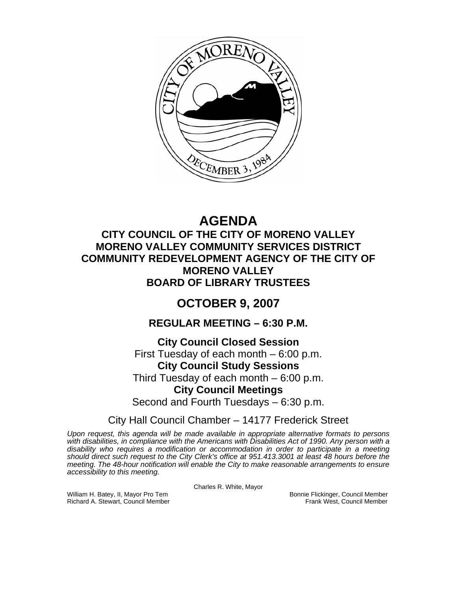

# **AGENDA**

## **CITY COUNCIL OF THE CITY OF MORENO VALLEY MORENO VALLEY COMMUNITY SERVICES DISTRICT COMMUNITY REDEVELOPMENT AGENCY OF THE CITY OF MORENO VALLEY BOARD OF LIBRARY TRUSTEES**

## **OCTOBER 9, 2007**

## **REGULAR MEETING – 6:30 P.M.**

## **City Council Closed Session**  First Tuesday of each month – 6:00 p.m. **City Council Study Sessions**  Third Tuesday of each month – 6:00 p.m.

## **City Council Meetings**

Second and Fourth Tuesdays – 6:30 p.m.

## City Hall Council Chamber – 14177 Frederick Street

*Upon request, this agenda will be made available in appropriate alternative formats to persons*  with disabilities, in compliance with the Americans with Disabilities Act of 1990. Any person with a *disability who requires a modification or accommodation in order to participate in a meeting should direct such request to the City Clerk's office at 951.413.3001 at least 48 hours before the meeting. The 48-hour notification will enable the City to make reasonable arrangements to ensure accessibility to this meeting.* 

Charles R. White, Mayor

William H. Batey, II, Mayor Pro Tem Bonnie Flickinger, Council Member<br>Richard A. Stewart, Council Member Bonnie Frank West, Council Member Richard A. Stewart, Council Member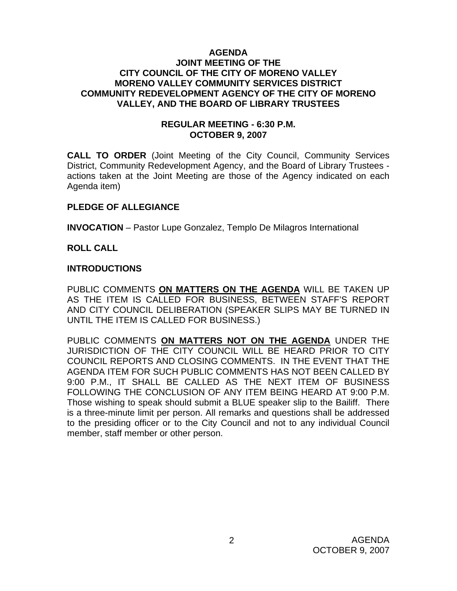#### **AGENDA JOINT MEETING OF THE CITY COUNCIL OF THE CITY OF MORENO VALLEY MORENO VALLEY COMMUNITY SERVICES DISTRICT COMMUNITY REDEVELOPMENT AGENCY OF THE CITY OF MORENO VALLEY, AND THE BOARD OF LIBRARY TRUSTEES**

#### **REGULAR MEETING - 6:30 P.M. OCTOBER 9, 2007**

**CALL TO ORDER** (Joint Meeting of the City Council, Community Services District, Community Redevelopment Agency, and the Board of Library Trustees actions taken at the Joint Meeting are those of the Agency indicated on each Agenda item)

## **PLEDGE OF ALLEGIANCE**

**INVOCATION** – Pastor Lupe Gonzalez, Templo De Milagros International

## **ROLL CALL**

#### **INTRODUCTIONS**

PUBLIC COMMENTS **ON MATTERS ON THE AGENDA** WILL BE TAKEN UP AS THE ITEM IS CALLED FOR BUSINESS, BETWEEN STAFF'S REPORT AND CITY COUNCIL DELIBERATION (SPEAKER SLIPS MAY BE TURNED IN UNTIL THE ITEM IS CALLED FOR BUSINESS.)

PUBLIC COMMENTS **ON MATTERS NOT ON THE AGENDA** UNDER THE JURISDICTION OF THE CITY COUNCIL WILL BE HEARD PRIOR TO CITY COUNCIL REPORTS AND CLOSING COMMENTS. IN THE EVENT THAT THE AGENDA ITEM FOR SUCH PUBLIC COMMENTS HAS NOT BEEN CALLED BY 9:00 P.M., IT SHALL BE CALLED AS THE NEXT ITEM OF BUSINESS FOLLOWING THE CONCLUSION OF ANY ITEM BEING HEARD AT 9:00 P.M. Those wishing to speak should submit a BLUE speaker slip to the Bailiff. There is a three-minute limit per person. All remarks and questions shall be addressed to the presiding officer or to the City Council and not to any individual Council member, staff member or other person.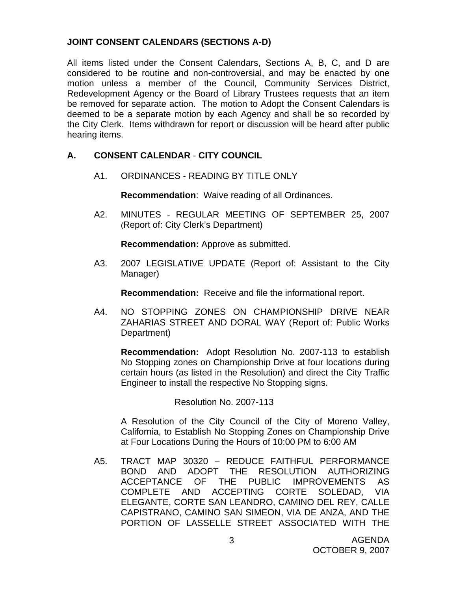## **JOINT CONSENT CALENDARS (SECTIONS A-D)**

All items listed under the Consent Calendars, Sections A, B, C, and D are considered to be routine and non-controversial, and may be enacted by one motion unless a member of the Council, Community Services District, Redevelopment Agency or the Board of Library Trustees requests that an item be removed for separate action. The motion to Adopt the Consent Calendars is deemed to be a separate motion by each Agency and shall be so recorded by the City Clerk. Items withdrawn for report or discussion will be heard after public hearing items.

## **A. CONSENT CALENDAR** - **CITY COUNCIL**

A1. ORDINANCES - READING BY TITLE ONLY

**Recommendation**: Waive reading of all Ordinances.

A2. MINUTES - REGULAR MEETING OF SEPTEMBER 25, 2007 (Report of: City Clerk's Department)

**Recommendation:** Approve as submitted.

 A3. 2007 LEGISLATIVE UPDATE (Report of: Assistant to the City Manager)

**Recommendation:** Receive and file the informational report.

A4. NO STOPPING ZONES ON CHAMPIONSHIP DRIVE NEAR ZAHARIAS STREET AND DORAL WAY (Report of: Public Works Department)

**Recommendation:** Adopt Resolution No. 2007-113 to establish No Stopping zones on Championship Drive at four locations during certain hours (as listed in the Resolution) and direct the City Traffic Engineer to install the respective No Stopping signs.

Resolution No. 2007-113

 A Resolution of the City Council of the City of Moreno Valley, California, to Establish No Stopping Zones on Championship Drive at Four Locations During the Hours of 10:00 PM to 6:00 AM

A5. TRACT MAP 30320 – REDUCE FAITHFUL PERFORMANCE BOND AND ADOPT THE RESOLUTION AUTHORIZING ACCEPTANCE OF THE PUBLIC IMPROVEMENTS AS COMPLETE AND ACCEPTING CORTE SOLEDAD, VIA ELEGANTE, CORTE SAN LEANDRO, CAMINO DEL REY, CALLE CAPISTRANO, CAMINO SAN SIMEON, VIA DE ANZA, AND THE PORTION OF LASSELLE STREET ASSOCIATED WITH THE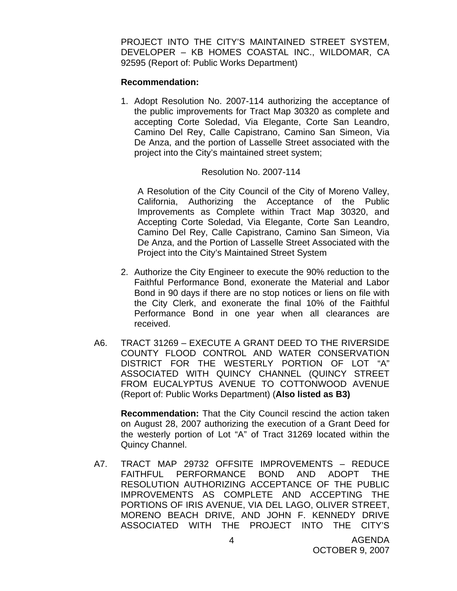PROJECT INTO THE CITY'S MAINTAINED STREET SYSTEM, DEVELOPER – KB HOMES COASTAL INC., WILDOMAR, CA 92595 (Report of: Public Works Department)

#### **Recommendation:**

1. Adopt Resolution No. 2007-114 authorizing the acceptance of the public improvements for Tract Map 30320 as complete and accepting Corte Soledad, Via Elegante, Corte San Leandro, Camino Del Rey, Calle Capistrano, Camino San Simeon, Via De Anza, and the portion of Lasselle Street associated with the project into the City's maintained street system;

#### Resolution No. 2007-114

 A Resolution of the City Council of the City of Moreno Valley, California, Authorizing the Acceptance of the Public Improvements as Complete within Tract Map 30320, and Accepting Corte Soledad, Via Elegante, Corte San Leandro, Camino Del Rey, Calle Capistrano, Camino San Simeon, Via De Anza, and the Portion of Lasselle Street Associated with the Project into the City's Maintained Street System

- 2. Authorize the City Engineer to execute the 90% reduction to the Faithful Performance Bond, exonerate the Material and Labor Bond in 90 days if there are no stop notices or liens on file with the City Clerk, and exonerate the final 10% of the Faithful Performance Bond in one year when all clearances are received.
- A6. TRACT 31269 EXECUTE A GRANT DEED TO THE RIVERSIDE COUNTY FLOOD CONTROL AND WATER CONSERVATION DISTRICT FOR THE WESTERLY PORTION OF LOT "A" ASSOCIATED WITH QUINCY CHANNEL (QUINCY STREET FROM EUCALYPTUS AVENUE TO COTTONWOOD AVENUE (Report of: Public Works Department) (**Also listed as B3)**

**Recommendation:** That the City Council rescind the action taken on August 28, 2007 authorizing the execution of a Grant Deed for the westerly portion of Lot "A" of Tract 31269 located within the Quincy Channel.

A7. TRACT MAP 29732 OFFSITE IMPROVEMENTS – REDUCE FAITHFUL PERFORMANCE BOND AND ADOPT THE RESOLUTION AUTHORIZING ACCEPTANCE OF THE PUBLIC IMPROVEMENTS AS COMPLETE AND ACCEPTING THE PORTIONS OF IRIS AVENUE, VIA DEL LAGO, OLIVER STREET, MORENO BEACH DRIVE, AND JOHN F. KENNEDY DRIVE ASSOCIATED WITH THE PROJECT INTO THE CITY'S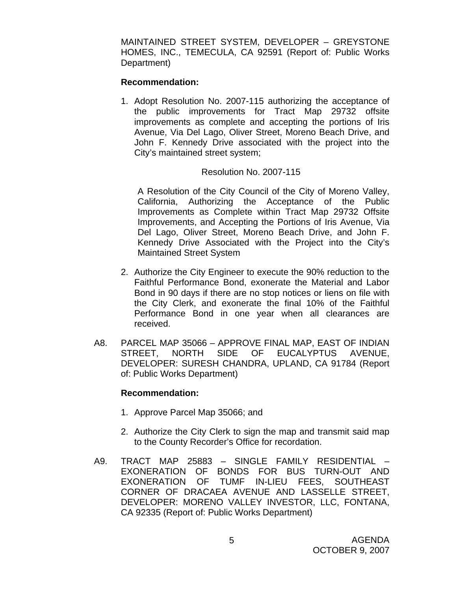MAINTAINED STREET SYSTEM, DEVELOPER – GREYSTONE HOMES, INC., TEMECULA, CA 92591 (Report of: Public Works Department)

#### **Recommendation:**

1. Adopt Resolution No. 2007-115 authorizing the acceptance of the public improvements for Tract Map 29732 offsite improvements as complete and accepting the portions of Iris Avenue, Via Del Lago, Oliver Street, Moreno Beach Drive, and John F. Kennedy Drive associated with the project into the City's maintained street system;

#### Resolution No. 2007-115

 A Resolution of the City Council of the City of Moreno Valley, California, Authorizing the Acceptance of the Public Improvements as Complete within Tract Map 29732 Offsite Improvements, and Accepting the Portions of Iris Avenue, Via Del Lago, Oliver Street, Moreno Beach Drive, and John F. Kennedy Drive Associated with the Project into the City's Maintained Street System

- 2. Authorize the City Engineer to execute the 90% reduction to the Faithful Performance Bond, exonerate the Material and Labor Bond in 90 days if there are no stop notices or liens on file with the City Clerk, and exonerate the final 10% of the Faithful Performance Bond in one year when all clearances are received.
- A8. PARCEL MAP 35066 APPROVE FINAL MAP, EAST OF INDIAN STREET, NORTH SIDE OF EUCALYPTUS AVENUE, DEVELOPER: SURESH CHANDRA, UPLAND, CA 91784 (Report of: Public Works Department)

#### **Recommendation:**

- 1. Approve Parcel Map 35066; and
- 2. Authorize the City Clerk to sign the map and transmit said map to the County Recorder's Office for recordation.
- A9. TRACT MAP 25883 SINGLE FAMILY RESIDENTIAL EXONERATION OF BONDS FOR BUS TURN-OUT AND EXONERATION OF TUMF IN-LIEU FEES, SOUTHEAST CORNER OF DRACAEA AVENUE AND LASSELLE STREET, DEVELOPER: MORENO VALLEY INVESTOR, LLC, FONTANA, CA 92335 (Report of: Public Works Department)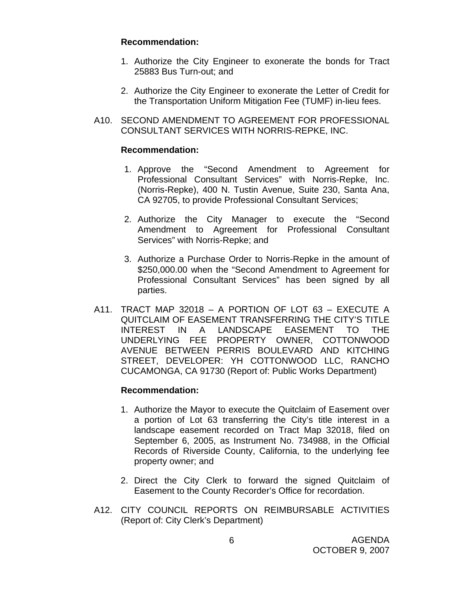#### **Recommendation:**

- 1. Authorize the City Engineer to exonerate the bonds for Tract 25883 Bus Turn-out; and
- 2. Authorize the City Engineer to exonerate the Letter of Credit for the Transportation Uniform Mitigation Fee (TUMF) in-lieu fees.
- A10. SECOND AMENDMENT TO AGREEMENT FOR PROFESSIONAL CONSULTANT SERVICES WITH NORRIS-REPKE, INC.

#### **Recommendation:**

- 1. Approve the "Second Amendment to Agreement for Professional Consultant Services" with Norris-Repke, Inc. (Norris-Repke), 400 N. Tustin Avenue, Suite 230, Santa Ana, CA 92705, to provide Professional Consultant Services;
- 2. Authorize the City Manager to execute the "Second Amendment to Agreement for Professional Consultant Services" with Norris-Repke; and
- 3. Authorize a Purchase Order to Norris-Repke in the amount of \$250,000.00 when the "Second Amendment to Agreement for Professional Consultant Services" has been signed by all parties.
- A11. TRACT MAP 32018 A PORTION OF LOT 63 EXECUTE A QUITCLAIM OF EASEMENT TRANSFERRING THE CITY'S TITLE INTEREST IN A LANDSCAPE EASEMENT TO THE UNDERLYING FEE PROPERTY OWNER, COTTONWOOD AVENUE BETWEEN PERRIS BOULEVARD AND KITCHING STREET, DEVELOPER: YH COTTONWOOD LLC, RANCHO CUCAMONGA, CA 91730 (Report of: Public Works Department)

## **Recommendation:**

- 1. Authorize the Mayor to execute the Quitclaim of Easement over a portion of Lot 63 transferring the City's title interest in a landscape easement recorded on Tract Map 32018, filed on September 6, 2005, as Instrument No. 734988, in the Official Records of Riverside County, California, to the underlying fee property owner; and
- 2. Direct the City Clerk to forward the signed Quitclaim of Easement to the County Recorder's Office for recordation.
- A12. CITY COUNCIL REPORTS ON REIMBURSABLE ACTIVITIES (Report of: City Clerk's Department)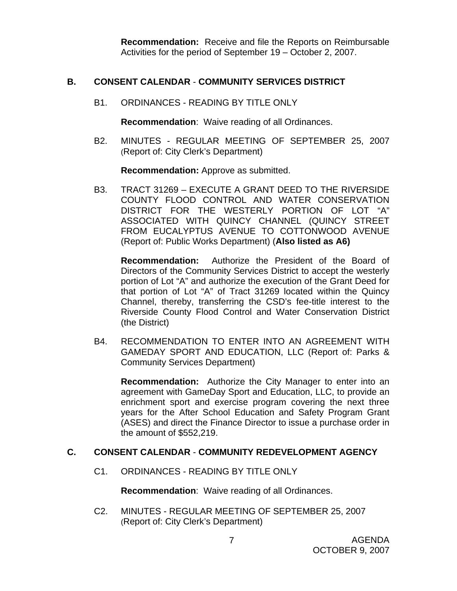**Recommendation:** Receive and file the Reports on Reimbursable Activities for the period of September 19 – October 2, 2007.

#### **B. CONSENT CALENDAR** - **COMMUNITY SERVICES DISTRICT**

B1. ORDINANCES - READING BY TITLE ONLY

**Recommendation**: Waive reading of all Ordinances.

B2. MINUTES - REGULAR MEETING OF SEPTEMBER 25, 2007 (Report of: City Clerk's Department)

**Recommendation:** Approve as submitted.

B3. TRACT 31269 – EXECUTE A GRANT DEED TO THE RIVERSIDE COUNTY FLOOD CONTROL AND WATER CONSERVATION DISTRICT FOR THE WESTERLY PORTION OF LOT "A" ASSOCIATED WITH QUINCY CHANNEL (QUINCY STREET FROM EUCALYPTUS AVENUE TO COTTONWOOD AVENUE (Report of: Public Works Department) (**Also listed as A6)**

**Recommendation:** Authorize the President of the Board of Directors of the Community Services District to accept the westerly portion of Lot "A" and authorize the execution of the Grant Deed for that portion of Lot "A" of Tract 31269 located within the Quincy Channel, thereby, transferring the CSD's fee-title interest to the Riverside County Flood Control and Water Conservation District (the District)

B4. RECOMMENDATION TO ENTER INTO AN AGREEMENT WITH GAMEDAY SPORT AND EDUCATION, LLC (Report of: Parks & Community Services Department)

**Recommendation:** Authorize the City Manager to enter into an agreement with GameDay Sport and Education, LLC, to provide an enrichment sport and exercise program covering the next three years for the After School Education and Safety Program Grant (ASES) and direct the Finance Director to issue a purchase order in the amount of \$552,219.

#### **C. CONSENT CALENDAR** - **COMMUNITY REDEVELOPMENT AGENCY**

C1. ORDINANCES - READING BY TITLE ONLY

**Recommendation**: Waive reading of all Ordinances.

C2. MINUTES - REGULAR MEETING OF SEPTEMBER 25, 2007 (Report of: City Clerk's Department)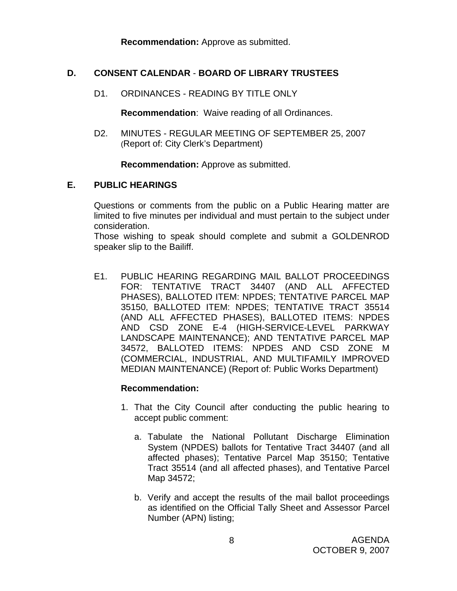**Recommendation:** Approve as submitted.

## **D. CONSENT CALENDAR** - **BOARD OF LIBRARY TRUSTEES**

D1. ORDINANCES - READING BY TITLE ONLY

**Recommendation**: Waive reading of all Ordinances.

D2. MINUTES - REGULAR MEETING OF SEPTEMBER 25, 2007 (Report of: City Clerk's Department)

**Recommendation:** Approve as submitted.

## **E. PUBLIC HEARINGS**

Questions or comments from the public on a Public Hearing matter are limited to five minutes per individual and must pertain to the subject under consideration.

 Those wishing to speak should complete and submit a GOLDENROD speaker slip to the Bailiff.

E1. PUBLIC HEARING REGARDING MAIL BALLOT PROCEEDINGS FOR: TENTATIVE TRACT 34407 (AND ALL AFFECTED PHASES), BALLOTED ITEM: NPDES; TENTATIVE PARCEL MAP 35150, BALLOTED ITEM: NPDES; TENTATIVE TRACT 35514 (AND ALL AFFECTED PHASES), BALLOTED ITEMS: NPDES AND CSD ZONE E-4 (HIGH-SERVICE-LEVEL PARKWAY LANDSCAPE MAINTENANCE); AND TENTATIVE PARCEL MAP 34572, BALLOTED ITEMS: NPDES AND CSD ZONE M (COMMERCIAL, INDUSTRIAL, AND MULTIFAMILY IMPROVED MEDIAN MAINTENANCE) (Report of: Public Works Department)

#### **Recommendation:**

- 1. That the City Council after conducting the public hearing to accept public comment:
	- a. Tabulate the National Pollutant Discharge Elimination System (NPDES) ballots for Tentative Tract 34407 (and all affected phases); Tentative Parcel Map 35150; Tentative Tract 35514 (and all affected phases), and Tentative Parcel Map 34572;
	- b. Verify and accept the results of the mail ballot proceedings as identified on the Official Tally Sheet and Assessor Parcel Number (APN) listing;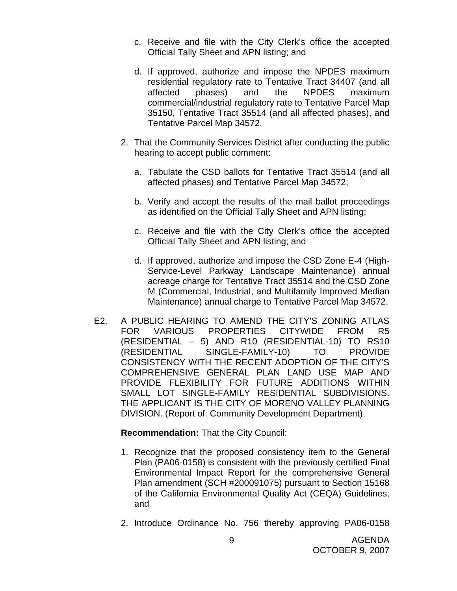- c. Receive and file with the City Clerk's office the accepted Official Tally Sheet and APN listing; and
- d. If approved, authorize and impose the NPDES maximum residential regulatory rate to Tentative Tract 34407 (and all affected phases) and the NPDES maximum commercial/industrial regulatory rate to Tentative Parcel Map 35150, Tentative Tract 35514 (and all affected phases), and Tentative Parcel Map 34572.
- 2. That the Community Services District after conducting the public hearing to accept public comment:
	- a. Tabulate the CSD ballots for Tentative Tract 35514 (and all affected phases) and Tentative Parcel Map 34572;
	- b. Verify and accept the results of the mail ballot proceedings as identified on the Official Tally Sheet and APN listing;
	- c. Receive and file with the City Clerk's office the accepted Official Tally Sheet and APN listing; and
	- d. If approved, authorize and impose the CSD Zone E-4 (High-Service-Level Parkway Landscape Maintenance) annual acreage charge for Tentative Tract 35514 and the CSD Zone M (Commercial, Industrial, and Multifamily Improved Median Maintenance) annual charge to Tentative Parcel Map 34572.
- E2. A PUBLIC HEARING TO AMEND THE CITY'S ZONING ATLAS FOR VARIOUS PROPERTIES CITYWIDE FROM R5 (RESIDENTIAL – 5) AND R10 (RESIDENTIAL-10) TO RS10 (RESIDENTIAL SINGLE-FAMILY-10) TO PROVIDE CONSISTENCY WITH THE RECENT ADOPTION OF THE CITY'S COMPREHENSIVE GENERAL PLAN LAND USE MAP AND PROVIDE FLEXIBILITY FOR FUTURE ADDITIONS WITHIN SMALL LOT SINGLE-FAMILY RESIDENTIAL SUBDIVISIONS. THE APPLICANT IS THE CITY OF MORENO VALLEY PLANNING DIVISION. (Report of: Community Development Department)

**Recommendation:** That the City Council:

- 1. Recognize that the proposed consistency item to the General Plan (PA06-0158) is consistent with the previously certified Final Environmental Impact Report for the comprehensive General Plan amendment (SCH #200091075) pursuant to Section 15168 of the California Environmental Quality Act (CEQA) Guidelines; and
- 2. Introduce Ordinance No. 756 thereby approving PA06-0158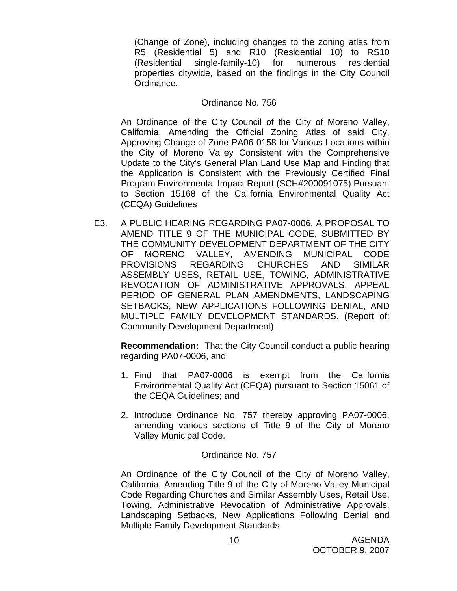(Change of Zone), including changes to the zoning atlas from R5 (Residential 5) and R10 (Residential 10) to RS10 (Residential single-family-10) for numerous residential properties citywide, based on the findings in the City Council Ordinance.

#### Ordinance No. 756

 An Ordinance of the City Council of the City of Moreno Valley, California, Amending the Official Zoning Atlas of said City, Approving Change of Zone PA06-0158 for Various Locations within the City of Moreno Valley Consistent with the Comprehensive Update to the City's General Plan Land Use Map and Finding that the Application is Consistent with the Previously Certified Final Program Environmental Impact Report (SCH#200091075) Pursuant to Section 15168 of the California Environmental Quality Act (CEQA) Guidelines

E3. A PUBLIC HEARING REGARDING PA07-0006, A PROPOSAL TO AMEND TITLE 9 OF THE MUNICIPAL CODE, SUBMITTED BY THE COMMUNITY DEVELOPMENT DEPARTMENT OF THE CITY OF MORENO VALLEY, AMENDING MUNICIPAL CODE PROVISIONS REGARDING CHURCHES AND SIMILAR ASSEMBLY USES, RETAIL USE, TOWING, ADMINISTRATIVE REVOCATION OF ADMINISTRATIVE APPROVALS, APPEAL PERIOD OF GENERAL PLAN AMENDMENTS, LANDSCAPING SETBACKS, NEW APPLICATIONS FOLLOWING DENIAL, AND MULTIPLE FAMILY DEVELOPMENT STANDARDS. (Report of: Community Development Department)

**Recommendation:** That the City Council conduct a public hearing regarding PA07-0006, and

- 1. Find that PA07-0006 is exempt from the California Environmental Quality Act (CEQA) pursuant to Section 15061 of the CEQA Guidelines; and
- 2. Introduce Ordinance No. 757 thereby approving PA07-0006, amending various sections of Title 9 of the City of Moreno Valley Municipal Code.

#### Ordinance No. 757

 An Ordinance of the City Council of the City of Moreno Valley, California, Amending Title 9 of the City of Moreno Valley Municipal Code Regarding Churches and Similar Assembly Uses, Retail Use, Towing, Administrative Revocation of Administrative Approvals, Landscaping Setbacks, New Applications Following Denial and Multiple-Family Development Standards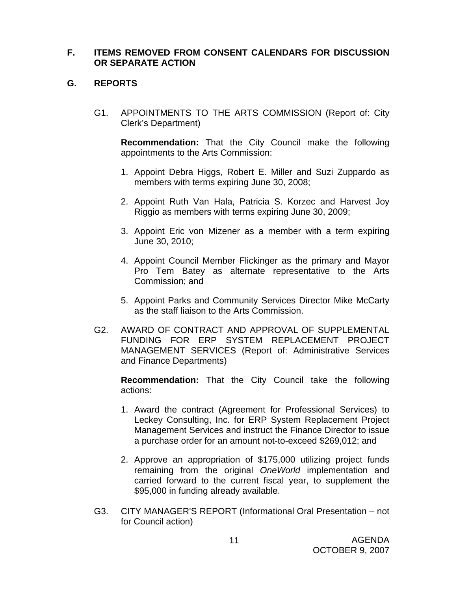## **F. ITEMS REMOVED FROM CONSENT CALENDARS FOR DISCUSSION OR SEPARATE ACTION**

## **G. REPORTS**

G1. APPOINTMENTS TO THE ARTS COMMISSION (Report of: City Clerk's Department)

**Recommendation:** That the City Council make the following appointments to the Arts Commission:

- 1. Appoint Debra Higgs, Robert E. Miller and Suzi Zuppardo as members with terms expiring June 30, 2008;
- 2. Appoint Ruth Van Hala, Patricia S. Korzec and Harvest Joy Riggio as members with terms expiring June 30, 2009;
- 3. Appoint Eric von Mizener as a member with a term expiring June 30, 2010;
- 4. Appoint Council Member Flickinger as the primary and Mayor Pro Tem Batey as alternate representative to the Arts Commission; and
- 5. Appoint Parks and Community Services Director Mike McCarty as the staff liaison to the Arts Commission.
- G2. AWARD OF CONTRACT AND APPROVAL OF SUPPLEMENTAL FUNDING FOR ERP SYSTEM REPLACEMENT PROJECT MANAGEMENT SERVICES (Report of: Administrative Services and Finance Departments)

**Recommendation:** That the City Council take the following actions:

- 1. Award the contract (Agreement for Professional Services) to Leckey Consulting, Inc. for ERP System Replacement Project Management Services and instruct the Finance Director to issue a purchase order for an amount not-to-exceed \$269,012; and
- 2. Approve an appropriation of \$175,000 utilizing project funds remaining from the original *OneWorld* implementation and carried forward to the current fiscal year, to supplement the \$95,000 in funding already available.
- G3. CITY MANAGER'S REPORT (Informational Oral Presentation not for Council action)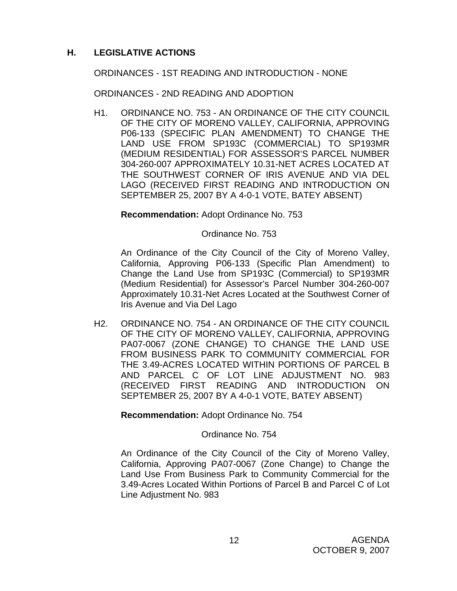## **H. LEGISLATIVE ACTIONS**

ORDINANCES - 1ST READING AND INTRODUCTION - NONE

ORDINANCES - 2ND READING AND ADOPTION

H1. ORDINANCE NO. 753 - AN ORDINANCE OF THE CITY COUNCIL OF THE CITY OF MORENO VALLEY, CALIFORNIA, APPROVING P06-133 (SPECIFIC PLAN AMENDMENT) TO CHANGE THE LAND USE FROM SP193C (COMMERCIAL) TO SP193MR (MEDIUM RESIDENTIAL) FOR ASSESSOR'S PARCEL NUMBER 304-260-007 APPROXIMATELY 10.31-NET ACRES LOCATED AT THE SOUTHWEST CORNER OF IRIS AVENUE AND VIA DEL LAGO (RECEIVED FIRST READING AND INTRODUCTION ON SEPTEMBER 25, 2007 BY A 4-0-1 VOTE, BATEY ABSENT)

## **Recommendation:** Adopt Ordinance No. 753

## Ordinance No. 753

An Ordinance of the City Council of the City of Moreno Valley, California, Approving P06-133 (Specific Plan Amendment) to Change the Land Use from SP193C (Commercial) to SP193MR (Medium Residential) for Assessor's Parcel Number 304-260-007 Approximately 10.31-Net Acres Located at the Southwest Corner of Iris Avenue and Via Del Lago

H2. ORDINANCE NO. 754 - AN ORDINANCE OF THE CITY COUNCIL OF THE CITY OF MORENO VALLEY, CALIFORNIA, APPROVING PA07-0067 (ZONE CHANGE) TO CHANGE THE LAND USE FROM BUSINESS PARK TO COMMUNITY COMMERCIAL FOR THE 3.49-ACRES LOCATED WITHIN PORTIONS OF PARCEL B AND PARCEL C OF LOT LINE ADJUSTMENT NO. 983 (RECEIVED FIRST READING AND INTRODUCTION ON SEPTEMBER 25, 2007 BY A 4-0-1 VOTE, BATEY ABSENT)

**Recommendation:** Adopt Ordinance No. 754

## Ordinance No. 754

An Ordinance of the City Council of the City of Moreno Valley, California, Approving PA07-0067 (Zone Change) to Change the Land Use From Business Park to Community Commercial for the 3.49-Acres Located Within Portions of Parcel B and Parcel C of Lot Line Adjustment No. 983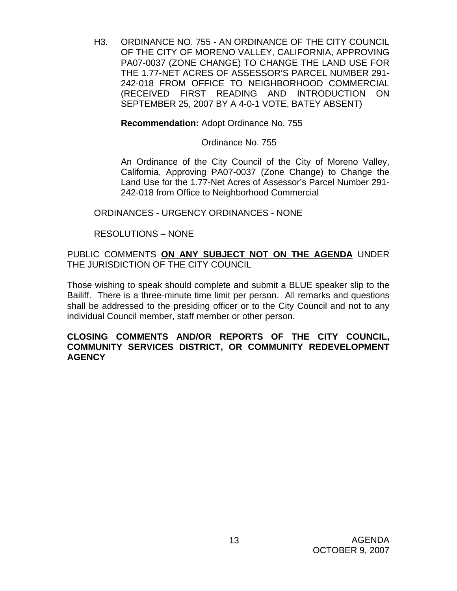H3. ORDINANCE NO. 755 - AN ORDINANCE OF THE CITY COUNCIL OF THE CITY OF MORENO VALLEY, CALIFORNIA, APPROVING PA07-0037 (ZONE CHANGE) TO CHANGE THE LAND USE FOR THE 1.77-NET ACRES OF ASSESSOR'S PARCEL NUMBER 291- 242-018 FROM OFFICE TO NEIGHBORHOOD COMMERCIAL (RECEIVED FIRST READING AND INTRODUCTION ON SEPTEMBER 25, 2007 BY A 4-0-1 VOTE, BATEY ABSENT)

**Recommendation:** Adopt Ordinance No. 755

Ordinance No. 755

An Ordinance of the City Council of the City of Moreno Valley, California, Approving PA07-0037 (Zone Change) to Change the Land Use for the 1.77-Net Acres of Assessor's Parcel Number 291- 242-018 from Office to Neighborhood Commercial

ORDINANCES - URGENCY ORDINANCES - NONE

RESOLUTIONS – NONE

PUBLIC COMMENTS **ON ANY SUBJECT NOT ON THE AGENDA** UNDER THE JURISDICTION OF THE CITY COUNCIL

Those wishing to speak should complete and submit a BLUE speaker slip to the Bailiff. There is a three-minute time limit per person. All remarks and questions shall be addressed to the presiding officer or to the City Council and not to any individual Council member, staff member or other person.

## **CLOSING COMMENTS AND/OR REPORTS OF THE CITY COUNCIL, COMMUNITY SERVICES DISTRICT, OR COMMUNITY REDEVELOPMENT AGENCY**